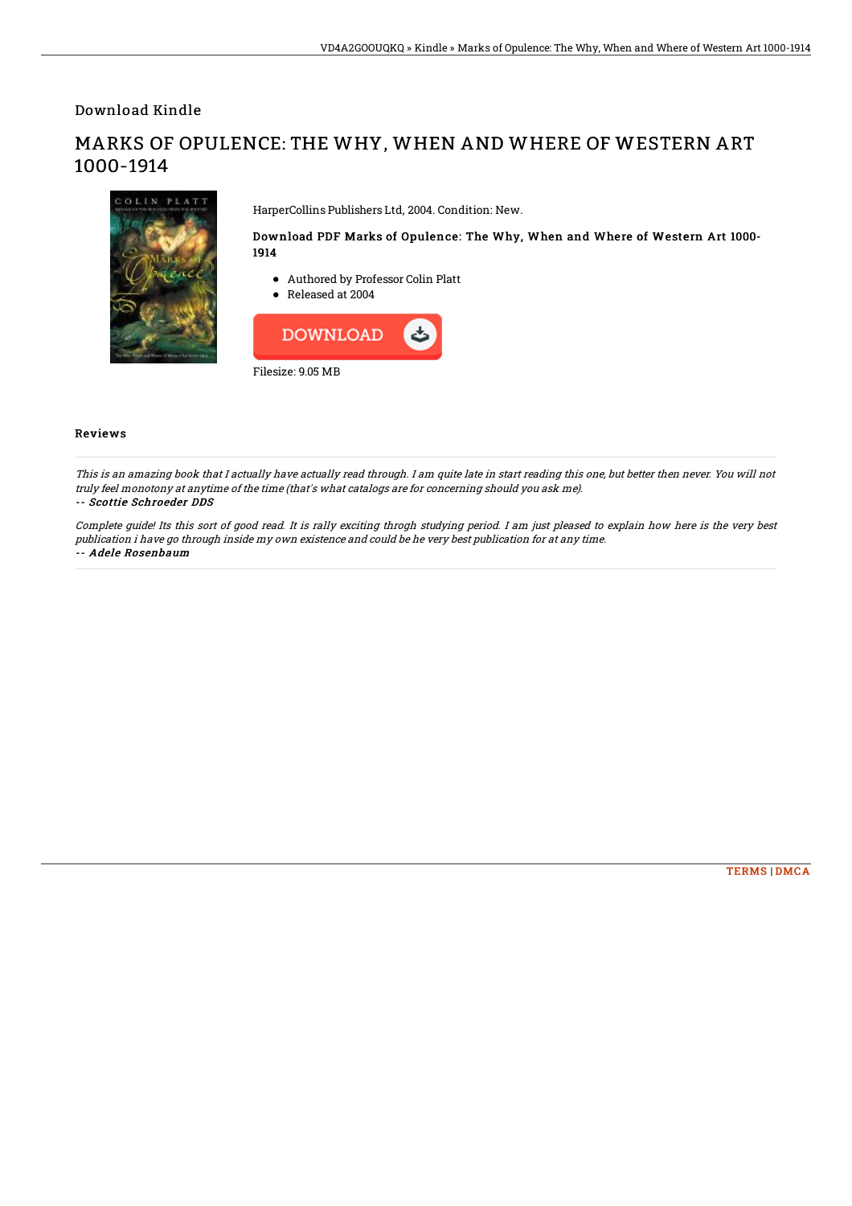Download Kindle

# MARKS OF OPULENCE: THE WHY, WHEN AND WHERE OF WESTERN ART 1000-1914



HarperCollins Publishers Ltd, 2004. Condition: New.

### Download PDF Marks of Opulence: The Why, When and Where of Western Art 1000- 1914

- Authored by Professor Colin Platt
- Released at 2004



#### Reviews

This is an amazing book that I actually have actually read through. I am quite late in start reading this one, but better then never. You will not truly feel monotony at anytime of the time (that's what catalogs are for concerning should you ask me). -- Scottie Schroeder DDS

Complete guide! Its this sort of good read. It is rally exciting throgh studying period. I am just pleased to explain how here is the very best publication i have go through inside my own existence and could be he very best publication for at any time. -- Adele Rosenbaum

#### [TERMS](http://techno-pub.tech/terms.html) | [DMCA](http://techno-pub.tech/dmca.html)